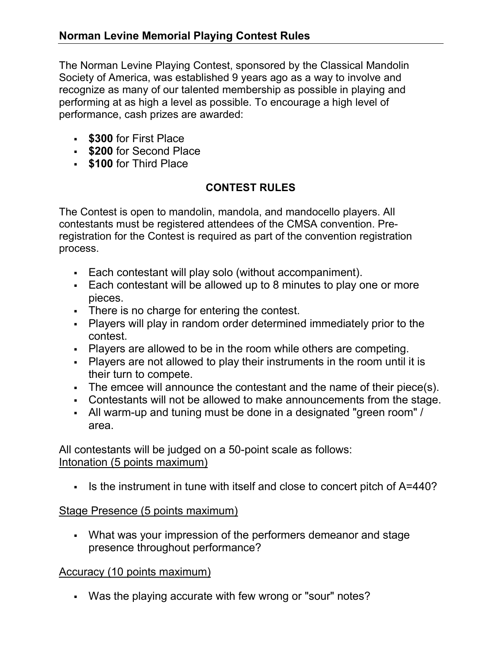The Norman Levine Playing Contest, sponsored by the Classical Mandolin Society of America, was established 9 years ago as a way to involve and recognize as many of our talented membership as possible in playing and performing at as high a level as possible. To encourage a high level of performance, cash prizes are awarded:

- **\$300 for First Place**
- **\$200 for Second Place**
- **\$100 for Third Place**

# CONTEST RULES

The Contest is open to mandolin, mandola, and mandocello players. All contestants must be registered attendees of the CMSA convention. Preregistration for the Contest is required as part of the convention registration process.

- Each contestant will play solo (without accompaniment).
- Each contestant will be allowed up to 8 minutes to play one or more pieces.
- There is no charge for entering the contest.
- Players will play in random order determined immediately prior to the contest.
- Players are allowed to be in the room while others are competing.
- Players are not allowed to play their instruments in the room until it is their turn to compete.
- The emcee will announce the contestant and the name of their piece(s).
- Contestants will not be allowed to make announcements from the stage.
- All warm-up and tuning must be done in a designated "green room" / area.

All contestants will be judged on a 50-point scale as follows: Intonation (5 points maximum)

Is the instrument in tune with itself and close to concert pitch of A=440?

## Stage Presence (5 points maximum)

 What was your impression of the performers demeanor and stage presence throughout performance?

## Accuracy (10 points maximum)

Was the playing accurate with few wrong or "sour" notes?